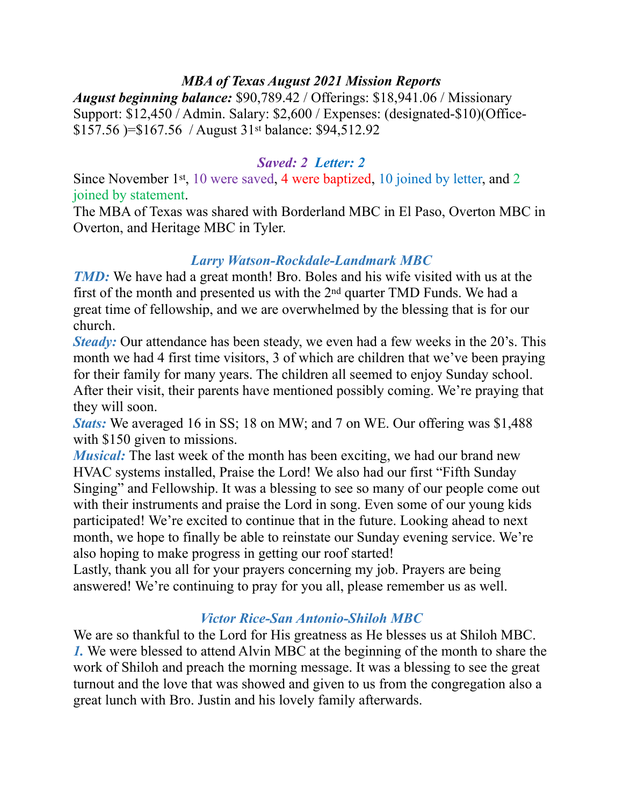#### *MBA of Texas August 2021 Mission Reports*

*August beginning balance:* \$90,789.42 / Offerings: \$18,941.06 / Missionary Support: \$12,450 / Admin. Salary: \$2,600 / Expenses: (designated-\$10)(Office- \$157.56 )=\$167.56 / August 31st balance: \$94,512.92

#### *Saved: 2 Letter: 2*

Since November 1st, 10 were saved, 4 were baptized, 10 joined by letter, and 2 joined by statement.

The MBA of Texas was shared with Borderland MBC in El Paso, Overton MBC in Overton, and Heritage MBC in Tyler.

### *Larry Watson-Rockdale-Landmark MBC*

*TMD*: We have had a great month! Bro. Boles and his wife visited with us at the first of the month and presented us with the 2nd quarter TMD Funds. We had a great time of fellowship, and we are overwhelmed by the blessing that is for our church.

*Steady:* Our attendance has been steady, we even had a few weeks in the 20's. This month we had 4 first time visitors, 3 of which are children that we've been praying for their family for many years. The children all seemed to enjoy Sunday school. After their visit, their parents have mentioned possibly coming. We're praying that they will soon.

*Stats:* We averaged 16 in SS; 18 on MW; and 7 on WE. Our offering was \$1,488 with \$150 given to missions.

*Musical:* The last week of the month has been exciting, we had our brand new HVAC systems installed, Praise the Lord! We also had our first "Fifth Sunday Singing" and Fellowship. It was a blessing to see so many of our people come out with their instruments and praise the Lord in song. Even some of our young kids participated! We're excited to continue that in the future. Looking ahead to next month, we hope to finally be able to reinstate our Sunday evening service. We're also hoping to make progress in getting our roof started!

Lastly, thank you all for your prayers concerning my job. Prayers are being answered! We're continuing to pray for you all, please remember us as well.

### *Victor Rice-San Antonio-Shiloh MBC*

We are so thankful to the Lord for His greatness as He blesses us at Shiloh MBC. *1.* We were blessed to attend Alvin MBC at the beginning of the month to share the work of Shiloh and preach the morning message. It was a blessing to see the great turnout and the love that was showed and given to us from the congregation also a great lunch with Bro. Justin and his lovely family afterwards.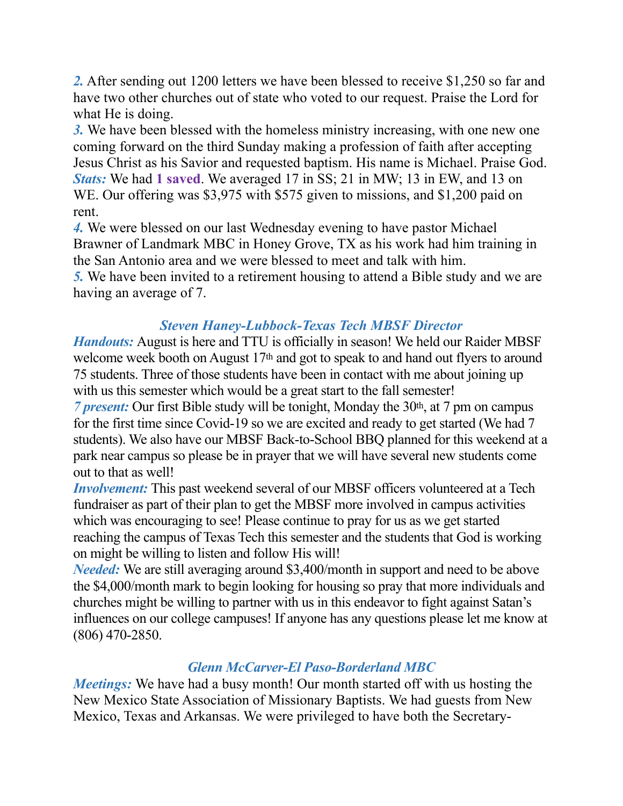*2.* After sending out 1200 letters we have been blessed to receive \$1,250 so far and have two other churches out of state who voted to our request. Praise the Lord for what He is doing.

*3.* We have been blessed with the homeless ministry increasing, with one new one coming forward on the third Sunday making a profession of faith after accepting Jesus Christ as his Savior and requested baptism. His name is Michael. Praise God. *Stats:* We had **1 saved**. We averaged 17 in SS; 21 in MW; 13 in EW, and 13 on WE. Our offering was \$3,975 with \$575 given to missions, and \$1,200 paid on rent.

*4.* We were blessed on our last Wednesday evening to have pastor Michael Brawner of Landmark MBC in Honey Grove, TX as his work had him training in the San Antonio area and we were blessed to meet and talk with him.

*5.* We have been invited to a retirement housing to attend a Bible study and we are having an average of 7.

### *Steven Haney-Lubbock-Texas Tech MBSF Director*

*Handouts:* August is here and TTU is officially in season! We held our Raider MBSF welcome week booth on August 17<sup>th</sup> and got to speak to and hand out flyers to around 75 students. Three of those students have been in contact with me about joining up with us this semester which would be a great start to the fall semester!

*7 present:* Our first Bible study will be tonight, Monday the 30th, at 7 pm on campus for the first time since Covid-19 so we are excited and ready to get started (We had 7 students). We also have our MBSF Back-to-School BBQ planned for this weekend at a park near campus so please be in prayer that we will have several new students come out to that as well!

*Involvement:* This past weekend several of our MBSF officers volunteered at a Tech fundraiser as part of their plan to get the MBSF more involved in campus activities which was encouraging to see! Please continue to pray for us as we get started reaching the campus of Texas Tech this semester and the students that God is working on might be willing to listen and follow His will!

*Needed:* We are still averaging around \$3,400/month in support and need to be above the \$4,000/month mark to begin looking for housing so pray that more individuals and churches might be willing to partner with us in this endeavor to fight against Satan's influences on our college campuses! If anyone has any questions please let me know at (806) 470-2850.

# *Glenn McCarver-El Paso-Borderland MBC*

*Meetings:* We have had a busy month! Our month started off with us hosting the New Mexico State Association of Missionary Baptists. We had guests from New Mexico, Texas and Arkansas. We were privileged to have both the Secretary-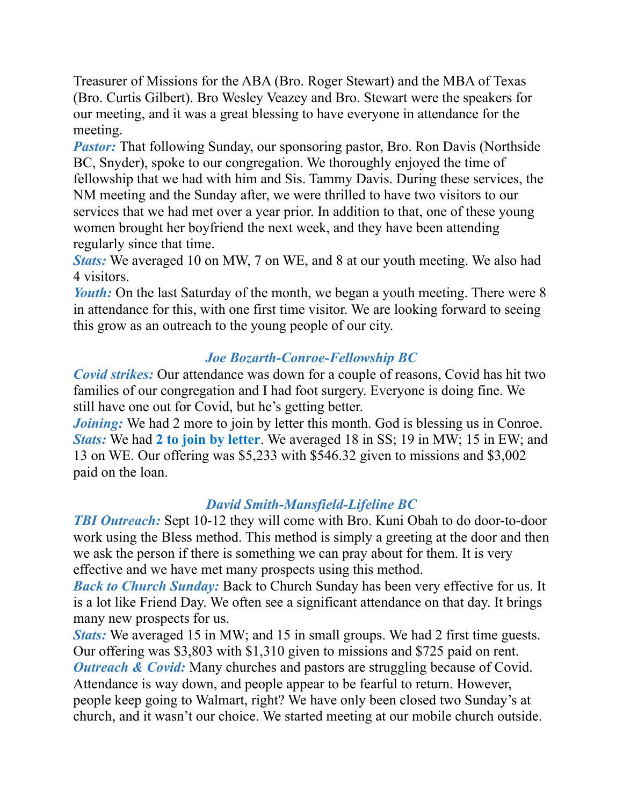Treasurer of Missions for the ABA (Bro. Roger Stewart) and the MBA of Texas (Bro. Curtis Gilbert). Bro Wesley Veazey and Bro. Stewart were the speakers for our meeting, and it was a great blessing to have everyone in attendance for the meeting.

*Pastor:* That following Sunday, our sponsoring pastor, Bro. Ron Davis (Northside BC, Snyder), spoke to our congregation. We thoroughly enjoyed the time of fellowship that we had with him and Sis. Tammy Davis. During these services, the NM meeting and the Sunday after, we were thrilled to have two visitors to our services that we had met over a year prior. In addition to that, one of these young women brought her boyfriend the next week, and they have been attending regularly since that time.

*Stats:* We averaged 10 on MW, 7 on WE, and 8 at our youth meeting. We also had 4 visitors.

*Youth:* On the last Saturday of the month, we began a youth meeting. There were 8 in attendance for this, with one first time visitor. We are looking forward to seeing this grow as an outreach to the young people of our city.

# *Joe Bozarth-Conroe-Fellowship BC*

*Covid strikes:* Our attendance was down for a couple of reasons, Covid has hit two families of our congregation and I had foot surgery. Everyone is doing fine. We still have one out for Covid, but he's getting better.

*Joining*: We had 2 more to join by letter this month. God is blessing us in Conroe. *Stats:* We had **2 to join by letter**. We averaged 18 in SS; 19 in MW; 15 in EW; and 13 on WE. Our offering was \$5,233 with \$546.32 given to missions and \$3,002 paid on the loan.

### *David Smith-Mansfield-Lifeline BC*

*TBI Outreach:* Sept 10-12 they will come with Bro. Kuni Obah to do door-to-door work using the Bless method. This method is simply a greeting at the door and then we ask the person if there is something we can pray about for them. It is very effective and we have met many prospects using this method.

*Back to Church Sunday:* Back to Church Sunday has been very effective for us. It is a lot like Friend Day. We often see a significant attendance on that day. It brings many new prospects for us.

*Stats:* We averaged 15 in MW; and 15 in small groups. We had 2 first time guests. Our offering was \$3,803 with \$1,310 given to missions and \$725 paid on rent. *Outreach & Covid:* Many churches and pastors are struggling because of Covid. Attendance is way down, and people appear to be fearful to return. However, people keep going to Walmart, right? We have only been closed two Sunday's at church, and it wasn't our choice. We started meeting at our mobile church outside.